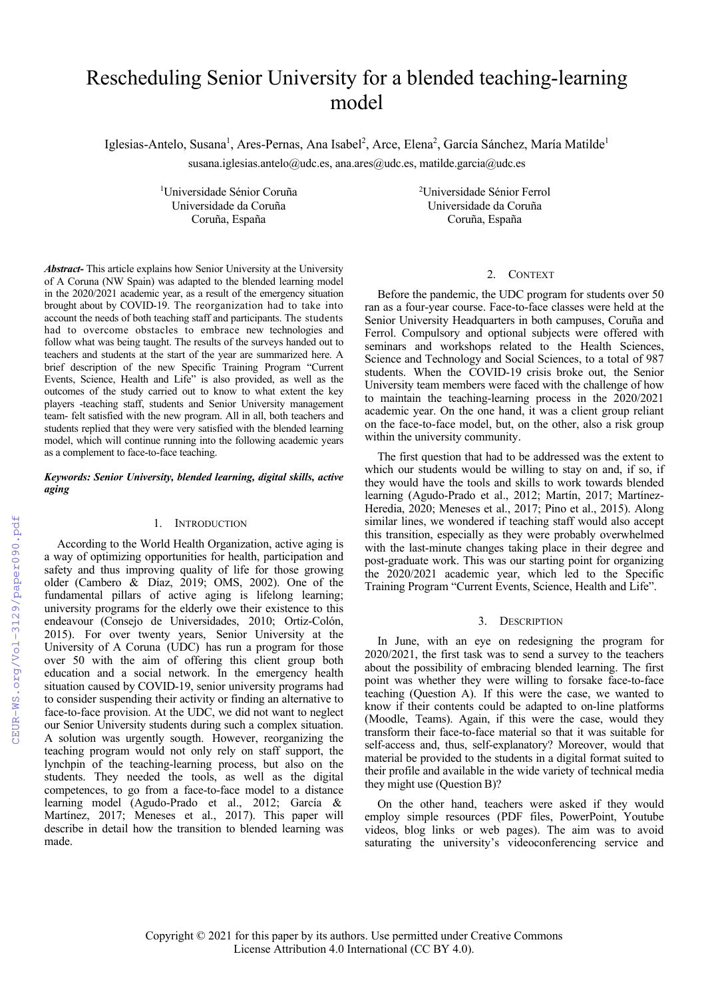# Rescheduling Senior University for a blended teaching-learning model

Iglesias-Antelo, Susana<sup>1</sup>, Ares-Pernas, Ana Isabel<sup>2</sup>, Arce, Elena<sup>2</sup>, García Sánchez, María Matilde<sup>1</sup>

susana.iglesias.antelo@udc.es, ana.ares@udc.es, matilde.garcia@udc.es

<sup>1</sup>Universidade Sénior Coruña <sup>2</sup> Coruña, España Coruña, España

Universidade Sénior Ferrol Universidade da Coruña Universidade da Coruña

## *Abstract-* This article explains how Senior University at the University of A Coruna (NW Spain) was adapted to the blended learning model in the 2020/2021 academic year, as a result of the emergency situation brought about by COVID-19. The reorganization had to take into account the needs of both teaching staff and participants. The students had to overcome obstacles to embrace new technologies and follow what was being taught. The results of the surveys handed out to teachers and students at the start of the year are summarized here. A brief description of the new Specific Training Program "Current Events, Science, Health and Life" is also provided, as well as the outcomes of the study carried out to know to what extent the key players -teaching staff, students and Senior University management team- felt satisfied with the new program. All in all, both teachers and students replied that they were very satisfied with the blended learning model, which will continue running into the following academic years as a complement to face-to-face teaching.

# *Keywords: Senior University, blended learning, digital skills, active aging*

## 1. INTRODUCTION

According to the World Health Organization, active aging is a way of optimizing opportunities for health, participation and safety and thus improving quality of life for those growing older (Cambero & Díaz, 2019; OMS, 2002). One of the fundamental pillars of active aging is lifelong learning; university programs for the elderly owe their existence to this endeavour (Consejo de Universidades, 2010; Ortiz-Colón, 2015). For over twenty years, Senior University at the University of A Coruna (UDC) has run a program for those over 50 with the aim of offering this client group both education and a social network. In the emergency health situation caused by COVID-19, senior university programs had to consider suspending their activity or finding an alternative to face-to-face provision. At the UDC, we did not want to neglect our Senior University students during such a complex situation. A solution was urgently sougth. However, reorganizing the teaching program would not only rely on staff support, the lynchpin of the teaching-learning process, but also on the students. They needed the tools, as well as the digital competences, to go from a face-to-face model to a distance learning model (Agudo-Prado et al., 2012; García & Martínez, 2017; Meneses et al., 2017). This paper will describe in detail how the transition to blended learning was made.

# 2. CONTEXT

Before the pandemic, the UDC program for students over 50 ran as a four-year course. Face-to-face classes were held at the Senior University Headquarters in both campuses, Coruña and Ferrol. Compulsory and optional subjects were offered with seminars and workshops related to the Health Sciences, Science and Technology and Social Sciences, to a total of 987 students. When the COVID-19 crisis broke out, the Senior University team members were faced with the challenge of how to maintain the teaching-learning process in the 2020/2021 academic year. On the one hand, it was a client group reliant on the face-to-face model, but, on the other, also a risk group within the university community.

The first question that had to be addressed was the extent to which our students would be willing to stay on and, if so, if they would have the tools and skills to work towards blended learning (Agudo-Prado et al., 2012; Martín, 2017; Martínez-Heredia, 2020; Meneses et al., 2017; Pino et al., 2015). Along similar lines, we wondered if teaching staff would also accept this transition, especially as they were probably overwhelmed with the last-minute changes taking place in their degree and post-graduate work. This was our starting point for organizing the 2020/2021 academic year, which led to the Specific Training Program "Current Events, Science, Health and Life".

#### 3. DESCRIPTION

In June, with an eye on redesigning the program for 2020/2021, the first task was to send a survey to the teachers about the possibility of embracing blended learning. The first point was whether they were willing to forsake face-to-face teaching (Question A). If this were the case, we wanted to know if their contents could be adapted to on-line platforms (Moodle, Teams). Again, if this were the case, would they transform their face-to-face material so that it was suitable for self-access and, thus, self-explanatory? Moreover, would that material be provided to the students in a digital format suited to their profile and available in the wide variety of technical media they might use (Question B)?

On the other hand, teachers were asked if they would employ simple resources (PDF files, PowerPoint, Youtube videos, blog links or web pages). The aim was to avoid saturating the university's videoconferencing service and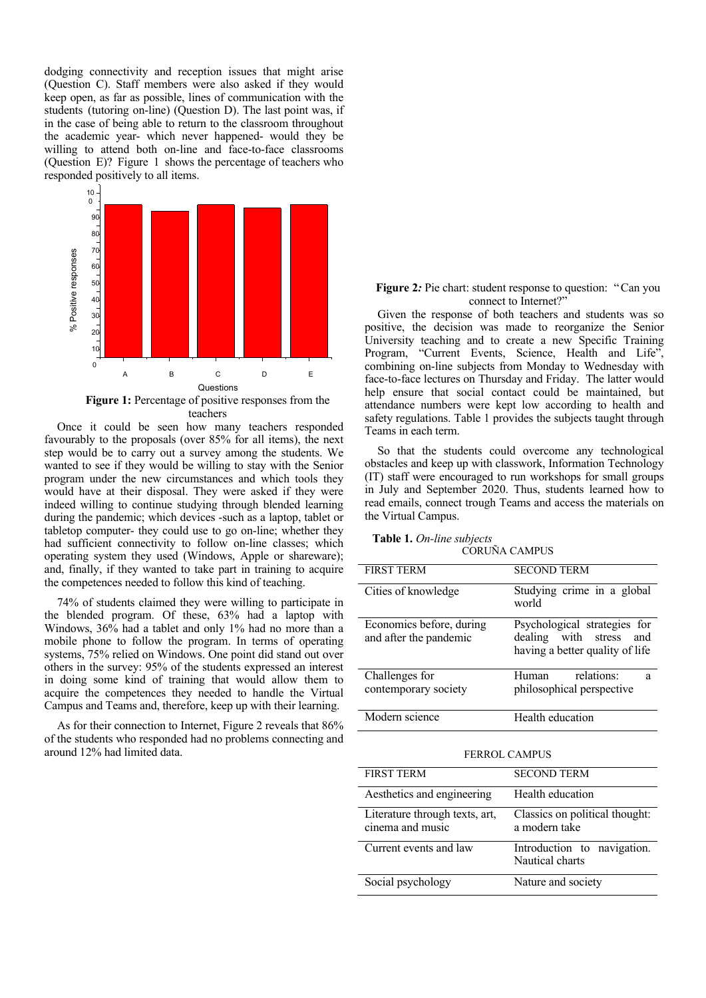dodging connectivity and reception issues that might arise (Question C). Staff members were also asked if they would keep open, as far as possible, lines of communication with the students (tutoring on-line) (Question D). The last point was, if in the case of being able to return to the classroom throughout the academic year- which never happened- would they be willing to attend both on-line and face-to-face classrooms (Question E)? Figure 1 shows the percentage of teachers who responded positively to all items.



Once it could be seen how many teachers responded favourably to the proposals (over 85% for all items), the next step would be to carry out a survey among the students. We wanted to see if they would be willing to stay with the Senior program under the new circumstances and which tools they would have at their disposal. They were asked if they were indeed willing to continue studying through blended learning during the pandemic; which devices -such as a laptop, tablet or tabletop computer- they could use to go on-line; whether they had sufficient connectivity to follow on-line classes; which operating system they used (Windows, Apple or shareware); and, finally, if they wanted to take part in training to acquire the competences needed to follow this kind of teaching.

74% of students claimed they were willing to participate in the blended program. Of these, 63% had a laptop with Windows, 36% had a tablet and only 1% had no more than a mobile phone to follow the program. In terms of operating systems, 75% relied on Windows. One point did stand out over others in the survey: 95% of the students expressed an interest in doing some kind of training that would allow them to acquire the competences they needed to handle the Virtual Campus and Teams and, therefore, keep up with their learning.

As for their connection to Internet, Figure 2 reveals that 86% of the students who responded had no problems connecting and around 12% had limited data.

## **Figure 2:** Pie chart: student response to question: "Can you connect to Internet?"

Given the response of both teachers and students was so positive, the decision was made to reorganize the Senior University teaching and to create a new Specific Training Program, "Current Events, Science, Health and Life", combining on-line subjects from Monday to Wednesday with face-to-face lectures on Thursday and Friday. The latter would help ensure that social contact could be maintained, but attendance numbers were kept low according to health and safety regulations. Table 1 provides the subjects taught through Teams in each term.

So that the students could overcome any technological obstacles and keep up with classwork, Information Technology (IT) staff were encouraged to run workshops for small groups in July and September 2020. Thus, students learned how to read emails, connect trough Teams and access the materials on the Virtual Campus.

### **Table 1.** *On-line subjects* CORUÑA CAMPUS

| <b>FIRST TERM</b>                                  | <b>SECOND TERM</b>                                                                            |
|----------------------------------------------------|-----------------------------------------------------------------------------------------------|
| Cities of knowledge                                | Studying crime in a global<br>world                                                           |
| Economics before, during<br>and after the pandemic | Psychological strategies for<br>dealing with stress<br>and<br>having a better quality of life |
| Challenges for<br>contemporary society             | relations:<br>Human<br>a<br>philosophical perspective                                         |
| Modern science                                     | Health education                                                                              |

| <b>FIRST TERM</b>                                  | <b>SECOND TERM</b>                              |
|----------------------------------------------------|-------------------------------------------------|
| Aesthetics and engineering                         | Health education                                |
| Literature through texts, art,<br>cinema and music | Classics on political thought:<br>a modern take |
| Current events and law                             | Introduction to navigation.<br>Nautical charts  |
| Social psychology                                  | Nature and society                              |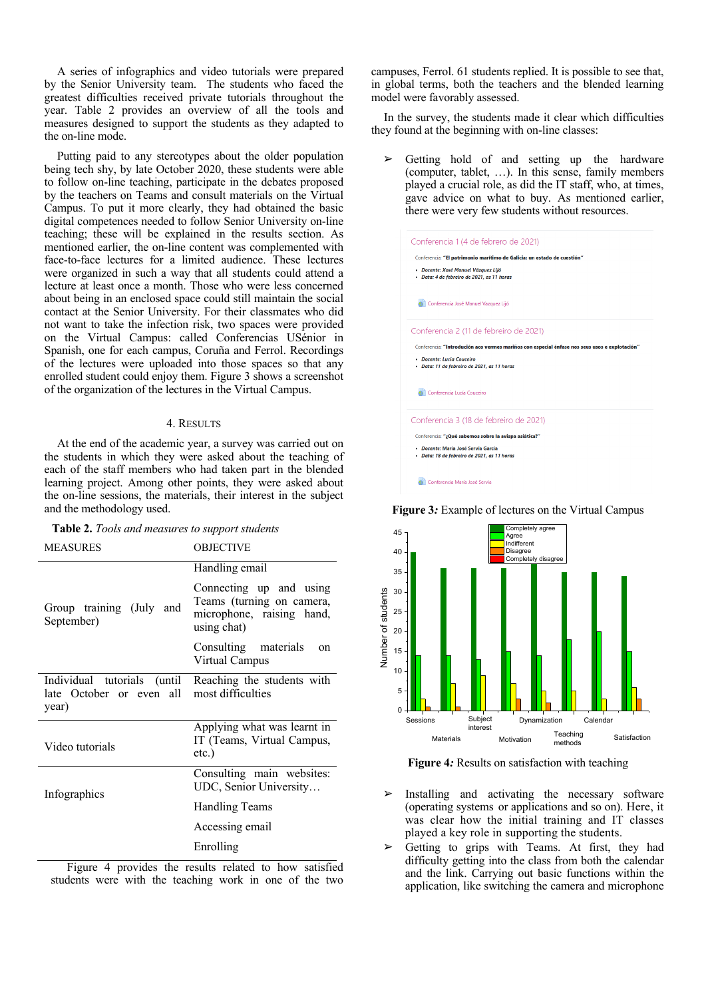A series of infographics and video tutorials were prepared by the Senior University team. The students who faced the greatest difficulties received private tutorials throughout the year. Table 2 provides an overview of all the tools and measures designed to support the students as they adapted to the on-line mode.

Putting paid to any stereotypes about the older population being tech shy, by late October 2020, these students were able to follow on-line teaching, participate in the debates proposed by the teachers on Teams and consult materials on the Virtual Campus. To put it more clearly, they had obtained the basic digital competences needed to follow Senior University on-line teaching; these will be explained in the results section. As mentioned earlier, the on-line content was complemented with face-to-face lectures for a limited audience. These lectures were organized in such a way that all students could attend a lecture at least once a month. Those who were less concerned about being in an enclosed space could still maintain the social contact at the Senior University. For their classmates who did not want to take the infection risk, two spaces were provided on the Virtual Campus: called Conferencias USénior in Spanish, one for each campus, Coruña and Ferrol. Recordings of the lectures were uploaded into those spaces so that any enrolled student could enjoy them. Figure 3 shows a screenshot of the organization of the lectures in the Virtual Campus.

# 4. RESULTS

At the end of the academic year, a survey was carried out on the students in which they were asked about the teaching of each of the staff members who had taken part in the blended learning project. Among other points, they were asked about the on-line sessions, the materials, their interest in the subject and the methodology used.

|  |  |  | Table 2. Tools and measures to support students |  |
|--|--|--|-------------------------------------------------|--|
|--|--|--|-------------------------------------------------|--|

| <b>MEASURES</b>                                                  | <b>OBJECTIVE</b>                                                                                 |  |  |
|------------------------------------------------------------------|--------------------------------------------------------------------------------------------------|--|--|
|                                                                  | Handling email                                                                                   |  |  |
| Group training (July and<br>September)                           | Connecting up and using<br>Teams (turning on camera,<br>microphone, raising hand,<br>using chat) |  |  |
|                                                                  | Consulting materials<br><sub>on</sub><br>Virtual Campus                                          |  |  |
| Individual tutorials (until<br>late October or even all<br>year) | Reaching the students with<br>most difficulties                                                  |  |  |
| Video tutorials                                                  | Applying what was learnt in<br>IT (Teams, Virtual Campus,<br>$etc.$ )                            |  |  |
| Infographics                                                     | Consulting main websites:<br>UDC, Senior University                                              |  |  |
|                                                                  | Handling Teams                                                                                   |  |  |
|                                                                  | Accessing email                                                                                  |  |  |
|                                                                  | Enrolling                                                                                        |  |  |

 Figure 4 provides the results related to how satisfied students were with the teaching work in one of the two

campuses, Ferrol. 61 students replied. It is possible to see that, in global terms, both the teachers and the blended learning model were favorably assessed.

In the survey, the students made it clear which difficulties they found at the beginning with on-line classes:

Getting hold of and setting up the hardware (computer, tablet, …). In this sense, family members played a crucial role, as did the IT staff, who, at times, gave advice on what to buy. As mentioned earlier, there were very few students without resources.







**Figure 4***:* Results on satisfaction with teaching

- Installing and activating the necessary software (operating systems or applications and so on). Here, it was clear how the initial training and IT classes played a key role in supporting the students.
- Getting to grips with Teams. At first, they had difficulty getting into the class from both the calendar and the link. Carrying out basic functions within the application, like switching the camera and microphone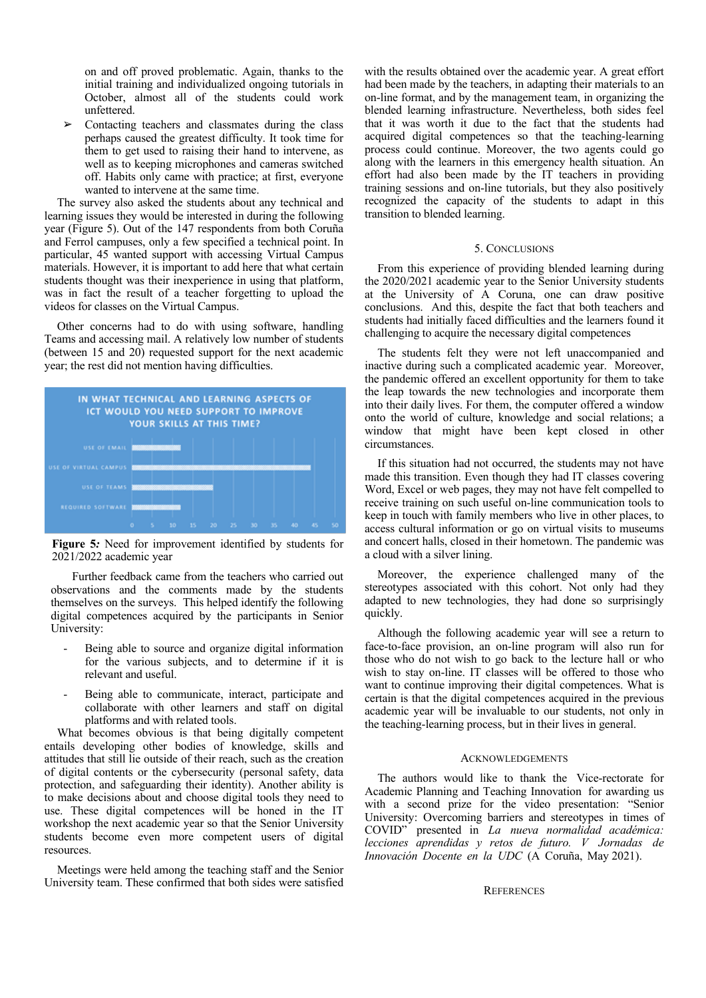on and off proved problematic. Again, thanks to the initial training and individualized ongoing tutorials in October, almost all of the students could work unfettered.

➢ Contacting teachers and classmates during the class perhaps caused the greatest difficulty. It took time for them to get used to raising their hand to intervene, as well as to keeping microphones and cameras switched off. Habits only came with practice; at first, everyone wanted to intervene at the same time.

The survey also asked the students about any technical and learning issues they would be interested in during the following year (Figure 5). Out of the 147 respondents from both Coruña and Ferrol campuses, only a few specified a technical point. In particular, 45 wanted support with accessing Virtual Campus materials. However, it is important to add here that what certain students thought was their inexperience in using that platform, was in fact the result of a teacher forgetting to upload the videos for classes on the Virtual Campus.

Other concerns had to do with using software, handling Teams and accessing mail. A relatively low number of students (between 15 and 20) requested support for the next academic year; the rest did not mention having difficulties.



**Figure 5***:* Need for improvement identified by students for 2021/2022 academic year

Further feedback came from the teachers who carried out observations and the comments made by the students themselves on the surveys. This helped identify the following digital competences acquired by the participants in Senior University:

- Being able to source and organize digital information for the various subjects, and to determine if it is relevant and useful.
- Being able to communicate, interact, participate and collaborate with other learners and staff on digital platforms and with related tools.

What becomes obvious is that being digitally competent entails developing other bodies of knowledge, skills and attitudes that still lie outside of their reach, such as the creation of digital contents or the cybersecurity (personal safety, data protection, and safeguarding their identity). Another ability is to make decisions about and choose digital tools they need to use. These digital competences will be honed in the IT workshop the next academic year so that the Senior University students become even more competent users of digital resources.

Meetings were held among the teaching staff and the Senior University team. These confirmed that both sides were satisfied with the results obtained over the academic year. A great effort had been made by the teachers, in adapting their materials to an on-line format, and by the management team, in organizing the blended learning infrastructure. Nevertheless, both sides feel that it was worth it due to the fact that the students had acquired digital competences so that the teaching-learning process could continue. Moreover, the two agents could go along with the learners in this emergency health situation. An effort had also been made by the IT teachers in providing training sessions and on-line tutorials, but they also positively recognized the capacity of the students to adapt in this transition to blended learning.

### 5. CONCLUSIONS

From this experience of providing blended learning during the 2020/2021 academic year to the Senior University students at the University of A Coruna, one can draw positive conclusions. And this, despite the fact that both teachers and students had initially faced difficulties and the learners found it challenging to acquire the necessary digital competences

The students felt they were not left unaccompanied and inactive during such a complicated academic year. Moreover, the pandemic offered an excellent opportunity for them to take the leap towards the new technologies and incorporate them into their daily lives. For them, the computer offered a window onto the world of culture, knowledge and social relations; a window that might have been kept closed in other circumstances.

If this situation had not occurred, the students may not have made this transition. Even though they had IT classes covering Word, Excel or web pages, they may not have felt compelled to receive training on such useful on-line communication tools to keep in touch with family members who live in other places, to access cultural information or go on virtual visits to museums and concert halls, closed in their hometown. The pandemic was a cloud with a silver lining.

Moreover, the experience challenged many of the stereotypes associated with this cohort. Not only had they adapted to new technologies, they had done so surprisingly quickly.

Although the following academic year will see a return to face-to-face provision, an on-line program will also run for those who do not wish to go back to the lecture hall or who wish to stay on-line. IT classes will be offered to those who want to continue improving their digital competences. What is certain is that the digital competences acquired in the previous academic year will be invaluable to our students, not only in the teaching-learning process, but in their lives in general.

## ACKNOWLEDGEMENTS

The authors would like to thank the Vice-rectorate for Academic Planning and Teaching Innovation for awarding us with a second prize for the video presentation: "Senior University: Overcoming barriers and stereotypes in times of COVID" presented in *La nueva normalidad académica: lecciones aprendidas y retos de futuro. V Jornadas de Innovación Docente en la UDC* (A Coruña, May 2021).

### **REFERENCES**